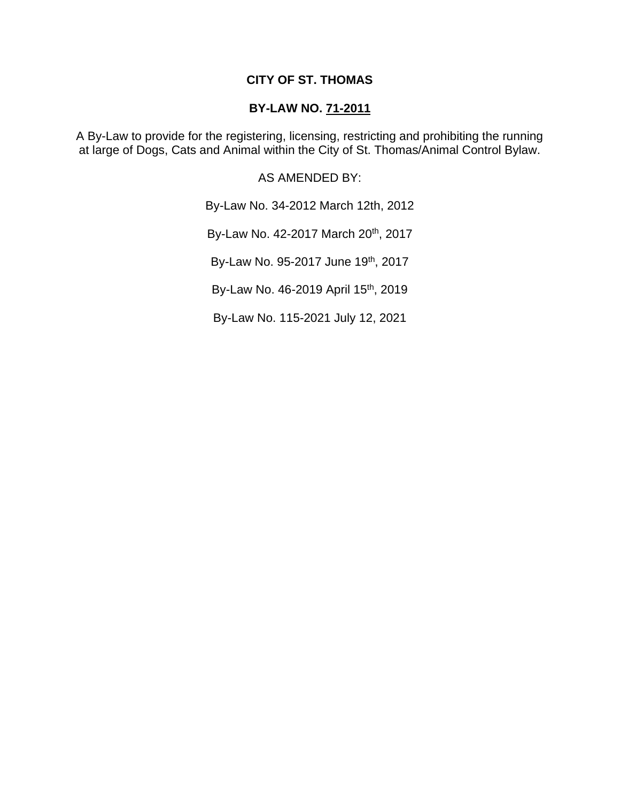## **CITY OF ST. THOMAS**

## **BY-LAW NO. 71-2011**

A By-Law to provide for the registering, licensing, restricting and prohibiting the running at large of Dogs, Cats and Animal within the City of St. Thomas/Animal Control Bylaw.

AS AMENDED BY:

By-Law No. 34-2012 March 12th, 2012

By-Law No. 42-2017 March 20<sup>th</sup>, 2017

By-Law No. 95-2017 June 19th, 2017

By-Law No. 46-2019 April 15<sup>th</sup>, 2019

By-Law No. 115-2021 July 12, 2021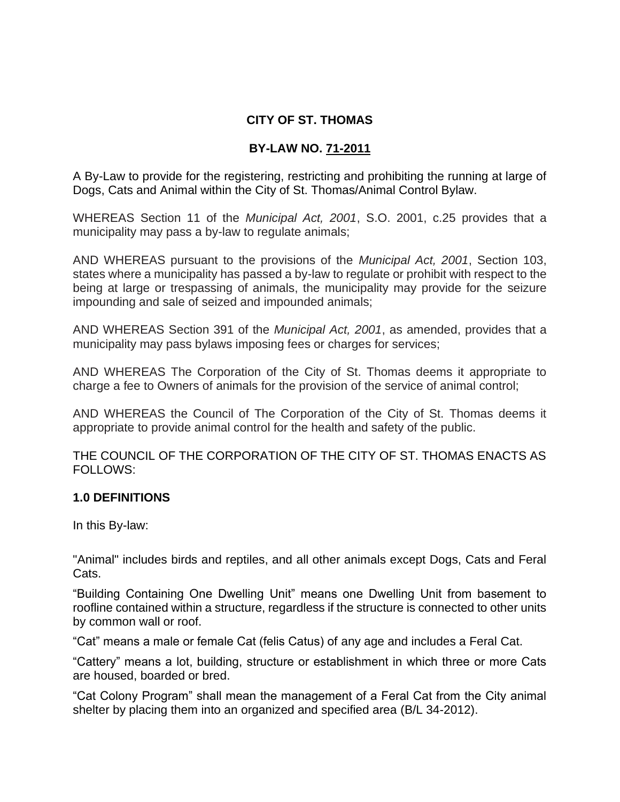# **CITY OF ST. THOMAS**

# **BY-LAW NO. 71-2011**

A By-Law to provide for the registering, restricting and prohibiting the running at large of Dogs, Cats and Animal within the City of St. Thomas/Animal Control Bylaw.

WHEREAS Section 11 of the *Municipal Act, 2001*, S.O. 2001, c.25 provides that a municipality may pass a by-law to regulate animals;

AND WHEREAS pursuant to the provisions of the *Municipal Act, 2001*, Section 103, states where a municipality has passed a by-law to regulate or prohibit with respect to the being at large or trespassing of animals, the municipality may provide for the seizure impounding and sale of seized and impounded animals;

AND WHEREAS Section 391 of the *Municipal Act, 2001*, as amended, provides that a municipality may pass bylaws imposing fees or charges for services;

AND WHEREAS The Corporation of the City of St. Thomas deems it appropriate to charge a fee to Owners of animals for the provision of the service of animal control;

AND WHEREAS the Council of The Corporation of the City of St. Thomas deems it appropriate to provide animal control for the health and safety of the public.

THE COUNCIL OF THE CORPORATION OF THE CITY OF ST. THOMAS ENACTS AS FOLLOWS:

## **1.0 DEFINITIONS**

In this By-law:

"Animal" includes birds and reptiles, and all other animals except Dogs, Cats and Feral Cats.

"Building Containing One Dwelling Unit" means one Dwelling Unit from basement to roofline contained within a structure, regardless if the structure is connected to other units by common wall or roof.

"Cat" means a male or female Cat (felis Catus) of any age and includes a Feral Cat.

"Cattery" means a lot, building, structure or establishment in which three or more Cats are housed, boarded or bred.

"Cat Colony Program" shall mean the management of a Feral Cat from the City animal shelter by placing them into an organized and specified area (B/L 34-2012).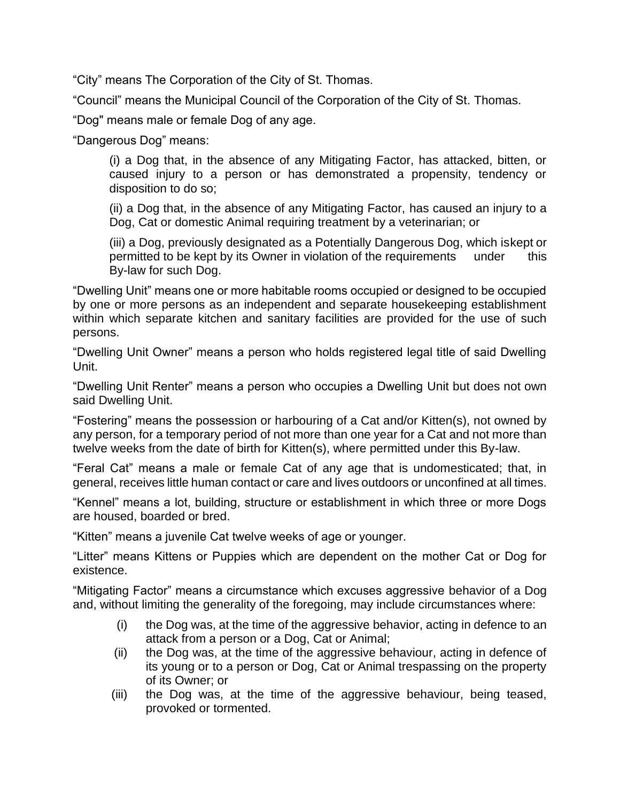"City" means The Corporation of the City of St. Thomas.

"Council" means the Municipal Council of the Corporation of the City of St. Thomas.

"Dog" means male or female Dog of any age.

"Dangerous Dog" means:

(i) a Dog that, in the absence of any Mitigating Factor, has attacked, bitten, or caused injury to a person or has demonstrated a propensity, tendency or disposition to do so;

(ii) a Dog that, in the absence of any Mitigating Factor, has caused an injury to a Dog, Cat or domestic Animal requiring treatment by a veterinarian; or

(iii) a Dog, previously designated as a Potentially Dangerous Dog, which iskept or permitted to be kept by its Owner in violation of the requirements under this By-law for such Dog.

"Dwelling Unit" means one or more habitable rooms occupied or designed to be occupied by one or more persons as an independent and separate housekeeping establishment within which separate kitchen and sanitary facilities are provided for the use of such persons.

"Dwelling Unit Owner" means a person who holds registered legal title of said Dwelling Unit.

"Dwelling Unit Renter" means a person who occupies a Dwelling Unit but does not own said Dwelling Unit.

"Fostering" means the possession or harbouring of a Cat and/or Kitten(s), not owned by any person, for a temporary period of not more than one year for a Cat and not more than twelve weeks from the date of birth for Kitten(s), where permitted under this By-law.

"Feral Cat" means a male or female Cat of any age that is undomesticated; that, in general, receives little human contact or care and lives outdoors or unconfined at all times.

"Kennel" means a lot, building, structure or establishment in which three or more Dogs are housed, boarded or bred.

"Kitten" means a juvenile Cat twelve weeks of age or younger.

"Litter" means Kittens or Puppies which are dependent on the mother Cat or Dog for existence.

"Mitigating Factor" means a circumstance which excuses aggressive behavior of a Dog and, without limiting the generality of the foregoing, may include circumstances where:

- (i) the Dog was, at the time of the aggressive behavior, acting in defence to an attack from a person or a Dog, Cat or Animal;
- (ii) the Dog was, at the time of the aggressive behaviour, acting in defence of its young or to a person or Dog, Cat or Animal trespassing on the property of its Owner; or
- (iii) the Dog was, at the time of the aggressive behaviour, being teased, provoked or tormented.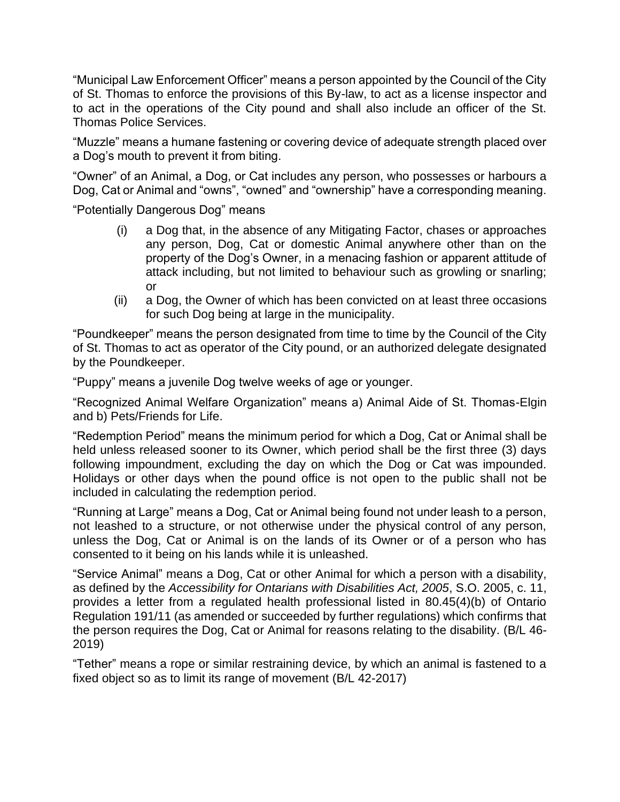"Municipal Law Enforcement Officer" means a person appointed by the Council of the City of St. Thomas to enforce the provisions of this By-law, to act as a license inspector and to act in the operations of the City pound and shall also include an officer of the St. Thomas Police Services.

"Muzzle" means a humane fastening or covering device of adequate strength placed over a Dog's mouth to prevent it from biting.

"Owner" of an Animal, a Dog, or Cat includes any person, who possesses or harbours a Dog, Cat or Animal and "owns", "owned" and "ownership" have a corresponding meaning.

"Potentially Dangerous Dog" means

- (i) a Dog that, in the absence of any Mitigating Factor, chases or approaches any person, Dog, Cat or domestic Animal anywhere other than on the property of the Dog's Owner, in a menacing fashion or apparent attitude of attack including, but not limited to behaviour such as growling or snarling; or
- (ii) a Dog, the Owner of which has been convicted on at least three occasions for such Dog being at large in the municipality.

"Poundkeeper" means the person designated from time to time by the Council of the City of St. Thomas to act as operator of the City pound, or an authorized delegate designated by the Poundkeeper.

"Puppy" means a juvenile Dog twelve weeks of age or younger.

"Recognized Animal Welfare Organization" means a) Animal Aide of St. Thomas-Elgin and b) Pets/Friends for Life.

"Redemption Period" means the minimum period for which a Dog, Cat or Animal shall be held unless released sooner to its Owner, which period shall be the first three (3) days following impoundment, excluding the day on which the Dog or Cat was impounded. Holidays or other days when the pound office is not open to the public shall not be included in calculating the redemption period.

"Running at Large" means a Dog, Cat or Animal being found not under leash to a person, not leashed to a structure, or not otherwise under the physical control of any person, unless the Dog, Cat or Animal is on the lands of its Owner or of a person who has consented to it being on his lands while it is unleashed.

"Service Animal" means a Dog, Cat or other Animal for which a person with a disability, as defined by the *Accessibility for Ontarians with Disabilities Act, 2005*, S.O. 2005, c. 11, provides a letter from a regulated health professional listed in 80.45(4)(b) of Ontario Regulation 191/11 (as amended or succeeded by further regulations) which confirms that the person requires the Dog, Cat or Animal for reasons relating to the disability. (B/L 46- 2019)

"Tether" means a rope or similar restraining device, by which an animal is fastened to a fixed object so as to limit its range of movement (B/L 42-2017)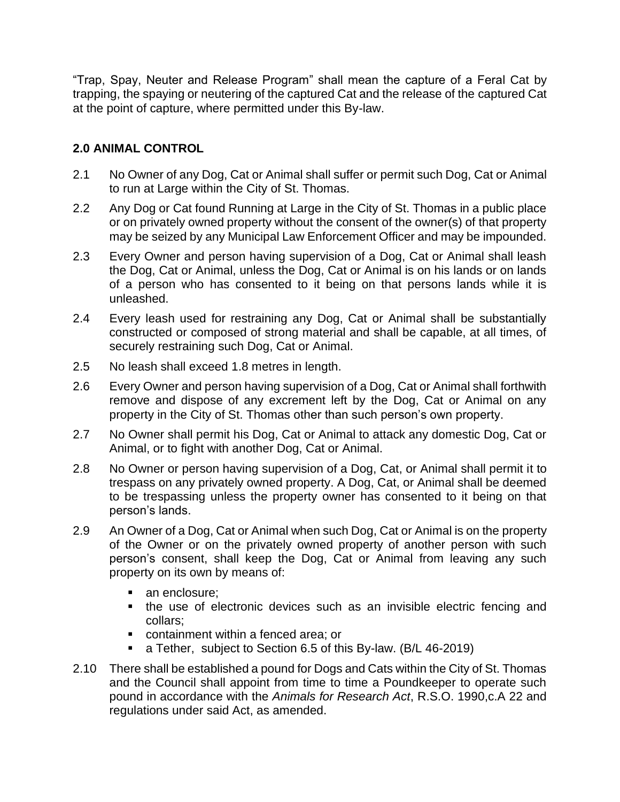"Trap, Spay, Neuter and Release Program" shall mean the capture of a Feral Cat by trapping, the spaying or neutering of the captured Cat and the release of the captured Cat at the point of capture, where permitted under this By-law.

# **2.0 ANIMAL CONTROL**

- 2.1 No Owner of any Dog, Cat or Animal shall suffer or permit such Dog, Cat or Animal to run at Large within the City of St. Thomas.
- 2.2 Any Dog or Cat found Running at Large in the City of St. Thomas in a public place or on privately owned property without the consent of the owner(s) of that property may be seized by any Municipal Law Enforcement Officer and may be impounded.
- 2.3 Every Owner and person having supervision of a Dog, Cat or Animal shall leash the Dog, Cat or Animal, unless the Dog, Cat or Animal is on his lands or on lands of a person who has consented to it being on that persons lands while it is unleashed.
- 2.4 Every leash used for restraining any Dog, Cat or Animal shall be substantially constructed or composed of strong material and shall be capable, at all times, of securely restraining such Dog, Cat or Animal.
- 2.5 No leash shall exceed 1.8 metres in length.
- 2.6 Every Owner and person having supervision of a Dog, Cat or Animal shall forthwith remove and dispose of any excrement left by the Dog, Cat or Animal on any property in the City of St. Thomas other than such person's own property.
- 2.7 No Owner shall permit his Dog, Cat or Animal to attack any domestic Dog, Cat or Animal, or to fight with another Dog, Cat or Animal.
- 2.8 No Owner or person having supervision of a Dog, Cat, or Animal shall permit it to trespass on any privately owned property. A Dog, Cat, or Animal shall be deemed to be trespassing unless the property owner has consented to it being on that person's lands.
- 2.9 An Owner of a Dog, Cat or Animal when such Dog, Cat or Animal is on the property of the Owner or on the privately owned property of another person with such person's consent, shall keep the Dog, Cat or Animal from leaving any such property on its own by means of:
	- an enclosure;
	- the use of electronic devices such as an invisible electric fencing and collars;
	- containment within a fenced area; or
	- a Tether, subject to Section 6.5 of this By-law. (B/L 46-2019)
- 2.10 There shall be established a pound for Dogs and Cats within the City of St. Thomas and the Council shall appoint from time to time a Poundkeeper to operate such pound in accordance with the *Animals for Research Act*, R.S.O. 1990,c.A 22 and regulations under said Act, as amended.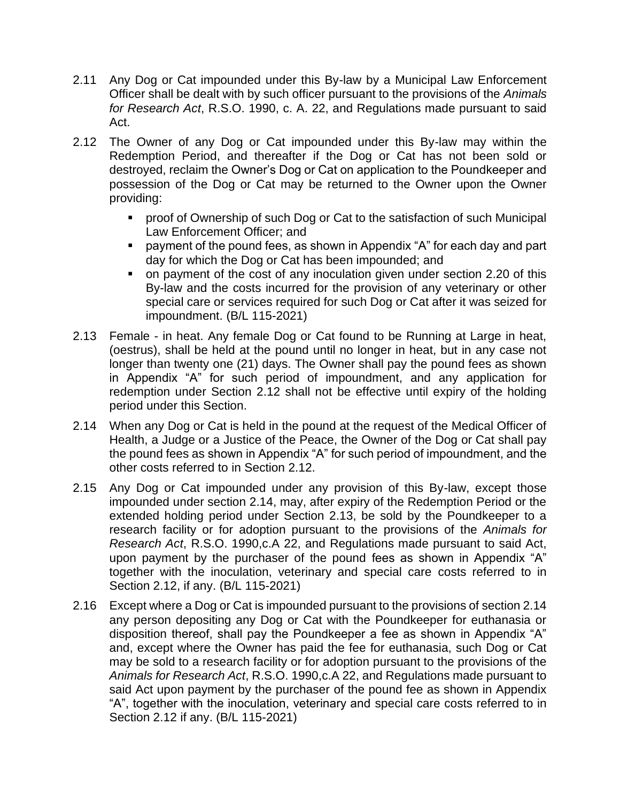- 2.11 Any Dog or Cat impounded under this By-law by a Municipal Law Enforcement Officer shall be dealt with by such officer pursuant to the provisions of the *Animals for Research Act*, R.S.O. 1990, c. A. 22, and Regulations made pursuant to said Act.
- 2.12 The Owner of any Dog or Cat impounded under this By-law may within the Redemption Period, and thereafter if the Dog or Cat has not been sold or destroyed, reclaim the Owner's Dog or Cat on application to the Poundkeeper and possession of the Dog or Cat may be returned to the Owner upon the Owner providing:
	- proof of Ownership of such Dog or Cat to the satisfaction of such Municipal Law Enforcement Officer; and
	- payment of the pound fees, as shown in Appendix "A" for each day and part day for which the Dog or Cat has been impounded; and
	- on payment of the cost of any inoculation given under section 2.20 of this By-law and the costs incurred for the provision of any veterinary or other special care or services required for such Dog or Cat after it was seized for impoundment. (B/L 115-2021)
- 2.13 Female in heat. Any female Dog or Cat found to be Running at Large in heat, (oestrus), shall be held at the pound until no longer in heat, but in any case not longer than twenty one (21) days. The Owner shall pay the pound fees as shown in Appendix "A" for such period of impoundment, and any application for redemption under Section 2.12 shall not be effective until expiry of the holding period under this Section.
- 2.14 When any Dog or Cat is held in the pound at the request of the Medical Officer of Health, a Judge or a Justice of the Peace, the Owner of the Dog or Cat shall pay the pound fees as shown in Appendix "A" for such period of impoundment, and the other costs referred to in Section 2.12.
- 2.15 Any Dog or Cat impounded under any provision of this By-law, except those impounded under section 2.14, may, after expiry of the Redemption Period or the extended holding period under Section 2.13, be sold by the Poundkeeper to a research facility or for adoption pursuant to the provisions of the *Animals for Research Act*, R.S.O. 1990,c.A 22, and Regulations made pursuant to said Act, upon payment by the purchaser of the pound fees as shown in Appendix "A" together with the inoculation, veterinary and special care costs referred to in Section 2.12, if any. (B/L 115-2021)
- 2.16 Except where a Dog or Cat is impounded pursuant to the provisions of section 2.14 any person depositing any Dog or Cat with the Poundkeeper for euthanasia or disposition thereof, shall pay the Poundkeeper a fee as shown in Appendix "A" and, except where the Owner has paid the fee for euthanasia, such Dog or Cat may be sold to a research facility or for adoption pursuant to the provisions of the *Animals for Research Act*, R.S.O. 1990,c.A 22, and Regulations made pursuant to said Act upon payment by the purchaser of the pound fee as shown in Appendix "A", together with the inoculation, veterinary and special care costs referred to in Section 2.12 if any. (B/L 115-2021)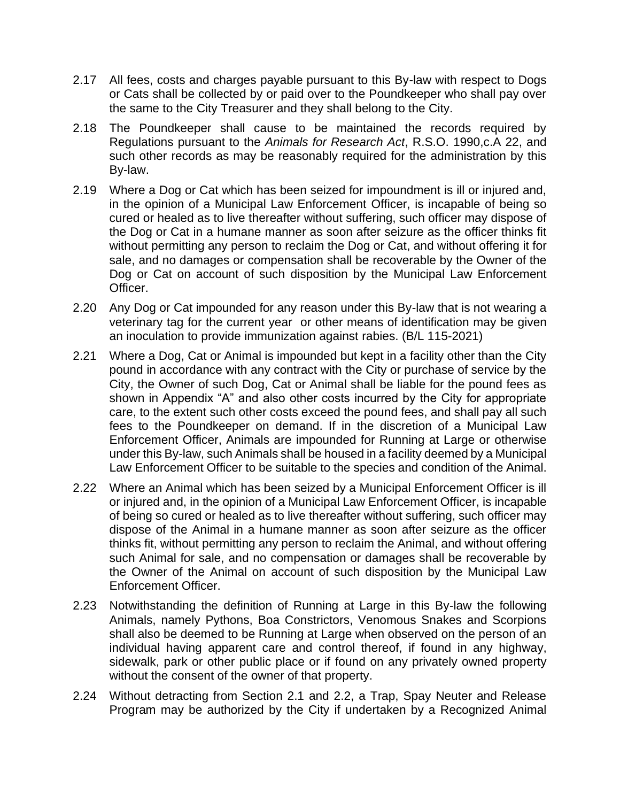- 2.17 All fees, costs and charges payable pursuant to this By-law with respect to Dogs or Cats shall be collected by or paid over to the Poundkeeper who shall pay over the same to the City Treasurer and they shall belong to the City.
- 2.18 The Poundkeeper shall cause to be maintained the records required by Regulations pursuant to the *Animals for Research Act*, R.S.O. 1990,c.A 22, and such other records as may be reasonably required for the administration by this By-law.
- 2.19 Where a Dog or Cat which has been seized for impoundment is ill or injured and, in the opinion of a Municipal Law Enforcement Officer, is incapable of being so cured or healed as to live thereafter without suffering, such officer may dispose of the Dog or Cat in a humane manner as soon after seizure as the officer thinks fit without permitting any person to reclaim the Dog or Cat, and without offering it for sale, and no damages or compensation shall be recoverable by the Owner of the Dog or Cat on account of such disposition by the Municipal Law Enforcement Officer.
- 2.20 Any Dog or Cat impounded for any reason under this By-law that is not wearing a veterinary tag for the current year or other means of identification may be given an inoculation to provide immunization against rabies. (B/L 115-2021)
- 2.21 Where a Dog, Cat or Animal is impounded but kept in a facility other than the City pound in accordance with any contract with the City or purchase of service by the City, the Owner of such Dog, Cat or Animal shall be liable for the pound fees as shown in Appendix "A" and also other costs incurred by the City for appropriate care, to the extent such other costs exceed the pound fees, and shall pay all such fees to the Poundkeeper on demand. If in the discretion of a Municipal Law Enforcement Officer, Animals are impounded for Running at Large or otherwise under this By-law, such Animals shall be housed in a facility deemed by a Municipal Law Enforcement Officer to be suitable to the species and condition of the Animal.
- 2.22 Where an Animal which has been seized by a Municipal Enforcement Officer is ill or injured and, in the opinion of a Municipal Law Enforcement Officer, is incapable of being so cured or healed as to live thereafter without suffering, such officer may dispose of the Animal in a humane manner as soon after seizure as the officer thinks fit, without permitting any person to reclaim the Animal, and without offering such Animal for sale, and no compensation or damages shall be recoverable by the Owner of the Animal on account of such disposition by the Municipal Law Enforcement Officer.
- 2.23 Notwithstanding the definition of Running at Large in this By-law the following Animals, namely Pythons, Boa Constrictors, Venomous Snakes and Scorpions shall also be deemed to be Running at Large when observed on the person of an individual having apparent care and control thereof, if found in any highway, sidewalk, park or other public place or if found on any privately owned property without the consent of the owner of that property.
- 2.24 Without detracting from Section 2.1 and 2.2, a Trap, Spay Neuter and Release Program may be authorized by the City if undertaken by a Recognized Animal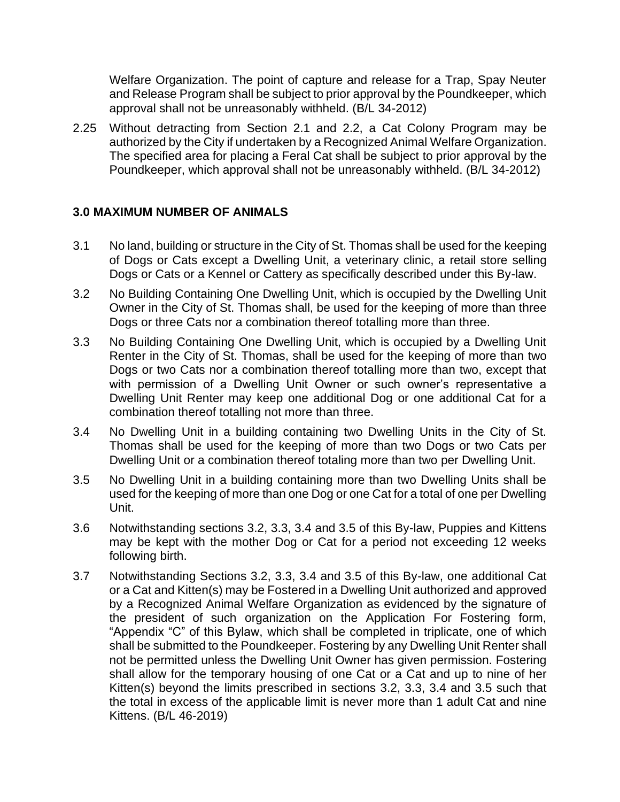Welfare Organization. The point of capture and release for a Trap, Spay Neuter and Release Program shall be subject to prior approval by the Poundkeeper, which approval shall not be unreasonably withheld. (B/L 34-2012)

2.25 Without detracting from Section 2.1 and 2.2, a Cat Colony Program may be authorized by the City if undertaken by a Recognized Animal Welfare Organization. The specified area for placing a Feral Cat shall be subject to prior approval by the Poundkeeper, which approval shall not be unreasonably withheld. (B/L 34-2012)

## **3.0 MAXIMUM NUMBER OF ANIMALS**

- 3.1 No land, building or structure in the City of St. Thomas shall be used for the keeping of Dogs or Cats except a Dwelling Unit, a veterinary clinic, a retail store selling Dogs or Cats or a Kennel or Cattery as specifically described under this By-law.
- 3.2 No Building Containing One Dwelling Unit, which is occupied by the Dwelling Unit Owner in the City of St. Thomas shall, be used for the keeping of more than three Dogs or three Cats nor a combination thereof totalling more than three.
- 3.3 No Building Containing One Dwelling Unit, which is occupied by a Dwelling Unit Renter in the City of St. Thomas, shall be used for the keeping of more than two Dogs or two Cats nor a combination thereof totalling more than two, except that with permission of a Dwelling Unit Owner or such owner's representative a Dwelling Unit Renter may keep one additional Dog or one additional Cat for a combination thereof totalling not more than three.
- 3.4 No Dwelling Unit in a building containing two Dwelling Units in the City of St. Thomas shall be used for the keeping of more than two Dogs or two Cats per Dwelling Unit or a combination thereof totaling more than two per Dwelling Unit.
- 3.5 No Dwelling Unit in a building containing more than two Dwelling Units shall be used for the keeping of more than one Dog or one Cat for a total of one per Dwelling Unit.
- 3.6 Notwithstanding sections 3.2, 3.3, 3.4 and 3.5 of this By-law, Puppies and Kittens may be kept with the mother Dog or Cat for a period not exceeding 12 weeks following birth.
- 3.7 Notwithstanding Sections 3.2, 3.3, 3.4 and 3.5 of this By-law, one additional Cat or a Cat and Kitten(s) may be Fostered in a Dwelling Unit authorized and approved by a Recognized Animal Welfare Organization as evidenced by the signature of the president of such organization on the Application For Fostering form, "Appendix "C" of this Bylaw, which shall be completed in triplicate, one of which shall be submitted to the Poundkeeper. Fostering by any Dwelling Unit Renter shall not be permitted unless the Dwelling Unit Owner has given permission. Fostering shall allow for the temporary housing of one Cat or a Cat and up to nine of her Kitten(s) beyond the limits prescribed in sections 3.2, 3.3, 3.4 and 3.5 such that the total in excess of the applicable limit is never more than 1 adult Cat and nine Kittens. (B/L 46-2019)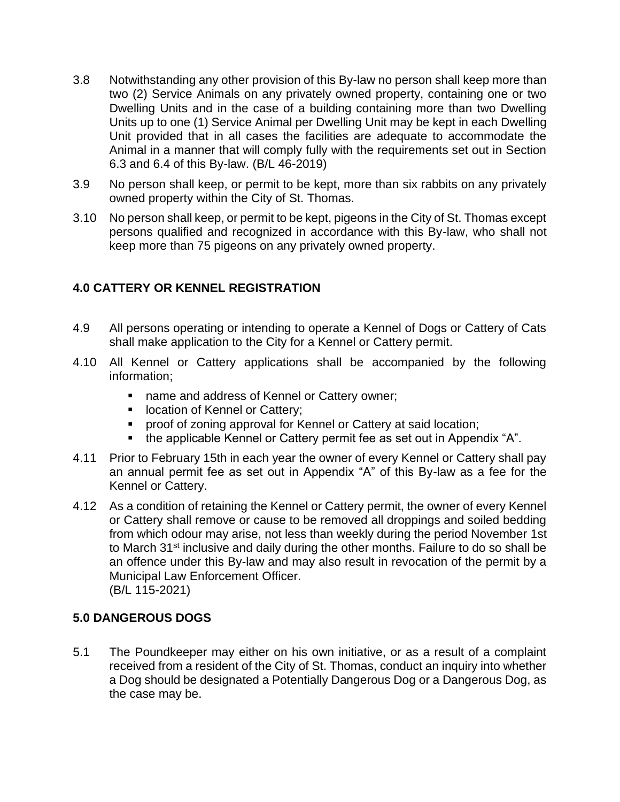- 3.8 Notwithstanding any other provision of this By-law no person shall keep more than two (2) Service Animals on any privately owned property, containing one or two Dwelling Units and in the case of a building containing more than two Dwelling Units up to one (1) Service Animal per Dwelling Unit may be kept in each Dwelling Unit provided that in all cases the facilities are adequate to accommodate the Animal in a manner that will comply fully with the requirements set out in Section 6.3 and 6.4 of this By-law. (B/L 46-2019)
- 3.9 No person shall keep, or permit to be kept, more than six rabbits on any privately owned property within the City of St. Thomas.
- 3.10 No person shall keep, or permit to be kept, pigeons in the City of St. Thomas except persons qualified and recognized in accordance with this By-law, who shall not keep more than 75 pigeons on any privately owned property.

# **4.0 CATTERY OR KENNEL REGISTRATION**

- 4.9 All persons operating or intending to operate a Kennel of Dogs or Cattery of Cats shall make application to the City for a Kennel or Cattery permit.
- 4.10 All Kennel or Cattery applications shall be accompanied by the following information;
	- name and address of Kennel or Cattery owner;
	- location of Kennel or Cattery;
	- proof of zoning approval for Kennel or Cattery at said location;
	- the applicable Kennel or Cattery permit fee as set out in Appendix "A".
- 4.11 Prior to February 15th in each year the owner of every Kennel or Cattery shall pay an annual permit fee as set out in Appendix "A" of this By-law as a fee for the Kennel or Cattery.
- 4.12 As a condition of retaining the Kennel or Cattery permit, the owner of every Kennel or Cattery shall remove or cause to be removed all droppings and soiled bedding from which odour may arise, not less than weekly during the period November 1st to March 31<sup>st</sup> inclusive and daily during the other months. Failure to do so shall be an offence under this By-law and may also result in revocation of the permit by a Municipal Law Enforcement Officer. (B/L 115-2021)

## **5.0 DANGEROUS DOGS**

5.1 The Poundkeeper may either on his own initiative, or as a result of a complaint received from a resident of the City of St. Thomas, conduct an inquiry into whether a Dog should be designated a Potentially Dangerous Dog or a Dangerous Dog, as the case may be.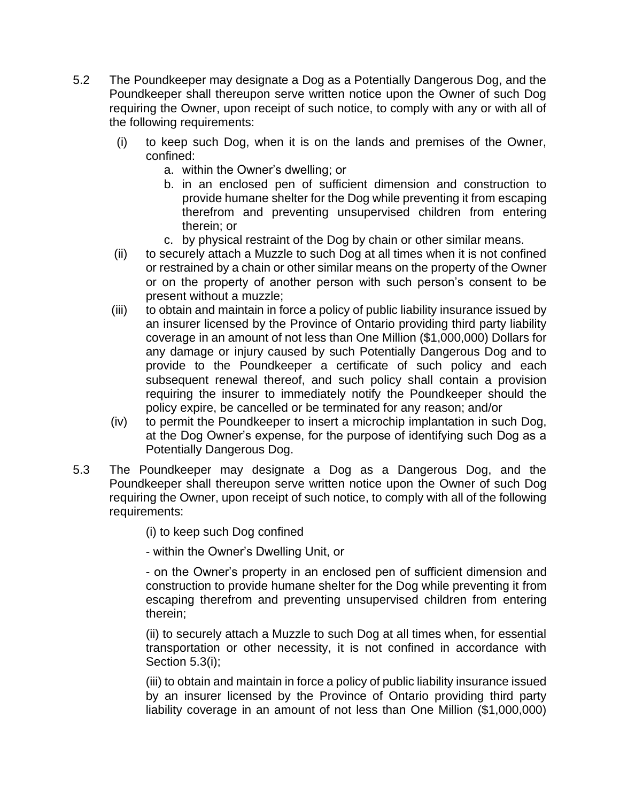- 5.2 The Poundkeeper may designate a Dog as a Potentially Dangerous Dog, and the Poundkeeper shall thereupon serve written notice upon the Owner of such Dog requiring the Owner, upon receipt of such notice, to comply with any or with all of the following requirements:
	- (i) to keep such Dog, when it is on the lands and premises of the Owner, confined:
		- a. within the Owner's dwelling; or
		- b. in an enclosed pen of sufficient dimension and construction to provide humane shelter for the Dog while preventing it from escaping therefrom and preventing unsupervised children from entering therein; or
		- c. by physical restraint of the Dog by chain or other similar means.
	- (ii) to securely attach a Muzzle to such Dog at all times when it is not confined or restrained by a chain or other similar means on the property of the Owner or on the property of another person with such person's consent to be present without a muzzle;
	- (iii) to obtain and maintain in force a policy of public liability insurance issued by an insurer licensed by the Province of Ontario providing third party liability coverage in an amount of not less than One Million (\$1,000,000) Dollars for any damage or injury caused by such Potentially Dangerous Dog and to provide to the Poundkeeper a certificate of such policy and each subsequent renewal thereof, and such policy shall contain a provision requiring the insurer to immediately notify the Poundkeeper should the policy expire, be cancelled or be terminated for any reason; and/or
	- (iv) to permit the Poundkeeper to insert a microchip implantation in such Dog, at the Dog Owner's expense, for the purpose of identifying such Dog as a Potentially Dangerous Dog.
- 5.3 The Poundkeeper may designate a Dog as a Dangerous Dog, and the Poundkeeper shall thereupon serve written notice upon the Owner of such Dog requiring the Owner, upon receipt of such notice, to comply with all of the following requirements:

(i) to keep such Dog confined

- within the Owner's Dwelling Unit, or

- on the Owner's property in an enclosed pen of sufficient dimension and construction to provide humane shelter for the Dog while preventing it from escaping therefrom and preventing unsupervised children from entering therein;

(ii) to securely attach a Muzzle to such Dog at all times when, for essential transportation or other necessity, it is not confined in accordance with Section 5.3(i);

(iii) to obtain and maintain in force a policy of public liability insurance issued by an insurer licensed by the Province of Ontario providing third party liability coverage in an amount of not less than One Million (\$1,000,000)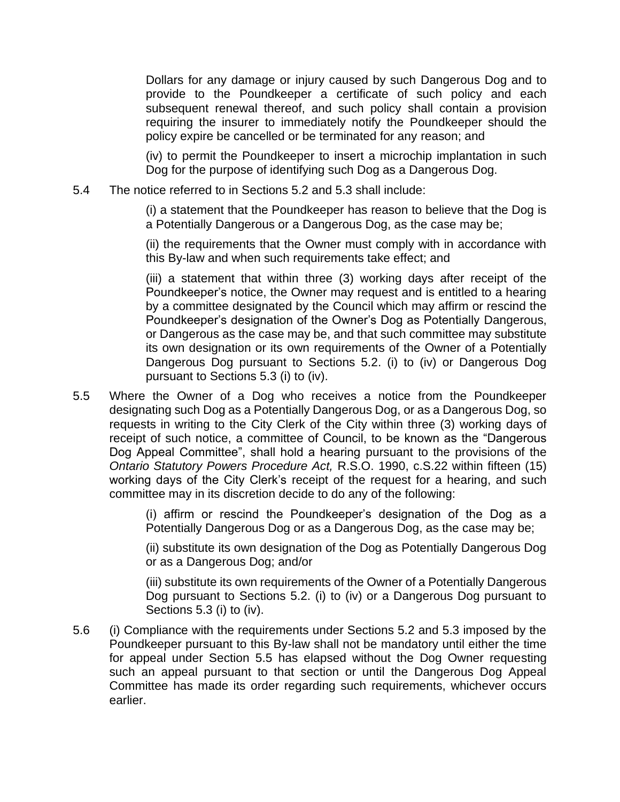Dollars for any damage or injury caused by such Dangerous Dog and to provide to the Poundkeeper a certificate of such policy and each subsequent renewal thereof, and such policy shall contain a provision requiring the insurer to immediately notify the Poundkeeper should the policy expire be cancelled or be terminated for any reason; and

(iv) to permit the Poundkeeper to insert a microchip implantation in such Dog for the purpose of identifying such Dog as a Dangerous Dog.

5.4 The notice referred to in Sections 5.2 and 5.3 shall include:

(i) a statement that the Poundkeeper has reason to believe that the Dog is a Potentially Dangerous or a Dangerous Dog, as the case may be;

(ii) the requirements that the Owner must comply with in accordance with this By-law and when such requirements take effect; and

(iii) a statement that within three (3) working days after receipt of the Poundkeeper's notice, the Owner may request and is entitled to a hearing by a committee designated by the Council which may affirm or rescind the Poundkeeper's designation of the Owner's Dog as Potentially Dangerous, or Dangerous as the case may be, and that such committee may substitute its own designation or its own requirements of the Owner of a Potentially Dangerous Dog pursuant to Sections 5.2. (i) to (iv) or Dangerous Dog pursuant to Sections 5.3 (i) to (iv).

5.5 Where the Owner of a Dog who receives a notice from the Poundkeeper designating such Dog as a Potentially Dangerous Dog, or as a Dangerous Dog, so requests in writing to the City Clerk of the City within three (3) working days of receipt of such notice, a committee of Council, to be known as the "Dangerous Dog Appeal Committee", shall hold a hearing pursuant to the provisions of the *Ontario Statutory Powers Procedure Act,* R.S.O. 1990, c.S.22 within fifteen (15) working days of the City Clerk's receipt of the request for a hearing, and such committee may in its discretion decide to do any of the following:

> (i) affirm or rescind the Poundkeeper's designation of the Dog as a Potentially Dangerous Dog or as a Dangerous Dog, as the case may be;

> (ii) substitute its own designation of the Dog as Potentially Dangerous Dog or as a Dangerous Dog; and/or

> (iii) substitute its own requirements of the Owner of a Potentially Dangerous Dog pursuant to Sections 5.2. (i) to (iv) or a Dangerous Dog pursuant to Sections 5.3 (i) to (iv).

5.6 (i) Compliance with the requirements under Sections 5.2 and 5.3 imposed by the Poundkeeper pursuant to this By-law shall not be mandatory until either the time for appeal under Section 5.5 has elapsed without the Dog Owner requesting such an appeal pursuant to that section or until the Dangerous Dog Appeal Committee has made its order regarding such requirements, whichever occurs earlier.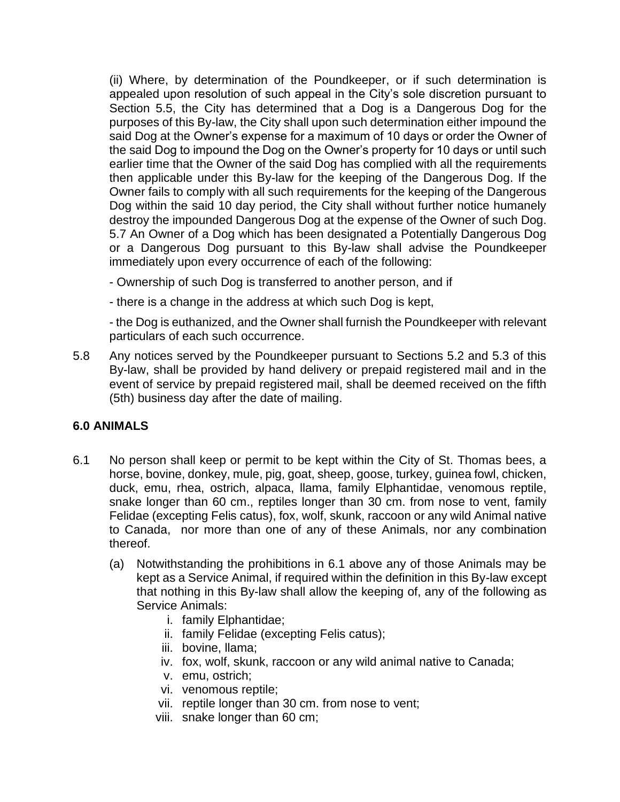(ii) Where, by determination of the Poundkeeper, or if such determination is appealed upon resolution of such appeal in the City's sole discretion pursuant to Section 5.5, the City has determined that a Dog is a Dangerous Dog for the purposes of this By-law, the City shall upon such determination either impound the said Dog at the Owner's expense for a maximum of 10 days or order the Owner of the said Dog to impound the Dog on the Owner's property for 10 days or until such earlier time that the Owner of the said Dog has complied with all the requirements then applicable under this By-law for the keeping of the Dangerous Dog. If the Owner fails to comply with all such requirements for the keeping of the Dangerous Dog within the said 10 day period, the City shall without further notice humanely destroy the impounded Dangerous Dog at the expense of the Owner of such Dog. 5.7 An Owner of a Dog which has been designated a Potentially Dangerous Dog or a Dangerous Dog pursuant to this By-law shall advise the Poundkeeper immediately upon every occurrence of each of the following:

- Ownership of such Dog is transferred to another person, and if
- there is a change in the address at which such Dog is kept,

- the Dog is euthanized, and the Owner shall furnish the Poundkeeper with relevant particulars of each such occurrence.

5.8 Any notices served by the Poundkeeper pursuant to Sections 5.2 and 5.3 of this By-law, shall be provided by hand delivery or prepaid registered mail and in the event of service by prepaid registered mail, shall be deemed received on the fifth (5th) business day after the date of mailing.

## **6.0 ANIMALS**

- 6.1 No person shall keep or permit to be kept within the City of St. Thomas bees, a horse, bovine, donkey, mule, pig, goat, sheep, goose, turkey, guinea fowl, chicken, duck, emu, rhea, ostrich, alpaca, llama, family Elphantidae, venomous reptile, snake longer than 60 cm., reptiles longer than 30 cm. from nose to vent, family Felidae (excepting Felis catus), fox, wolf, skunk, raccoon or any wild Animal native to Canada, nor more than one of any of these Animals, nor any combination thereof.
	- (a) Notwithstanding the prohibitions in 6.1 above any of those Animals may be kept as a Service Animal, if required within the definition in this By-law except that nothing in this By-law shall allow the keeping of, any of the following as Service Animals:
		- i. family Elphantidae;
		- ii. family Felidae (excepting Felis catus);
		- iii. bovine, llama;
		- iv. fox, wolf, skunk, raccoon or any wild animal native to Canada;
		- v. emu, ostrich;
		- vi. venomous reptile;
		- vii. reptile longer than 30 cm. from nose to vent;
		- viii. snake longer than 60 cm;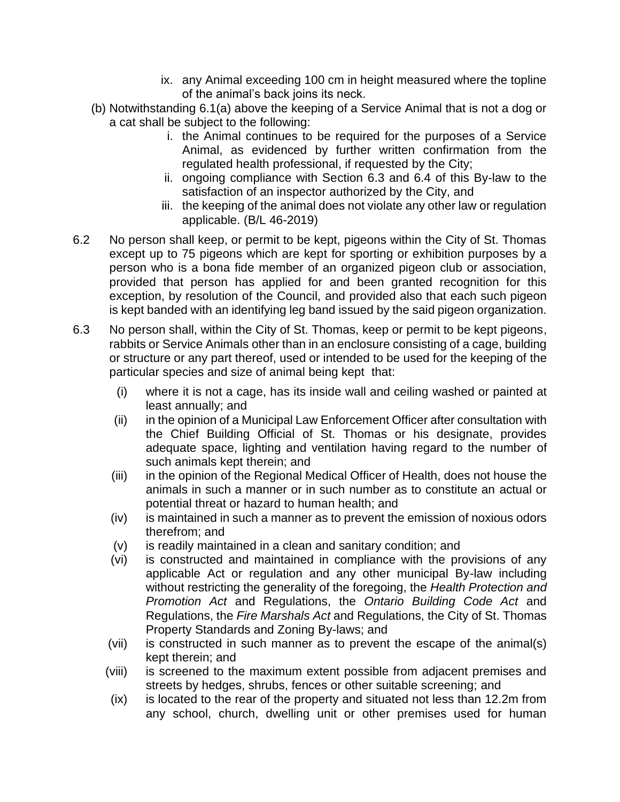- ix. any Animal exceeding 100 cm in height measured where the topline of the animal's back joins its neck.
- (b) Notwithstanding 6.1(a) above the keeping of a Service Animal that is not a dog or a cat shall be subject to the following:
	- i. the Animal continues to be required for the purposes of a Service Animal, as evidenced by further written confirmation from the regulated health professional, if requested by the City;
	- ii. ongoing compliance with Section 6.3 and 6.4 of this By-law to the satisfaction of an inspector authorized by the City, and
	- iii. the keeping of the animal does not violate any other law or regulation applicable. (B/L 46-2019)
- 6.2 No person shall keep, or permit to be kept, pigeons within the City of St. Thomas except up to 75 pigeons which are kept for sporting or exhibition purposes by a person who is a bona fide member of an organized pigeon club or association, provided that person has applied for and been granted recognition for this exception, by resolution of the Council, and provided also that each such pigeon is kept banded with an identifying leg band issued by the said pigeon organization.
- 6.3 No person shall, within the City of St. Thomas, keep or permit to be kept pigeons, rabbits or Service Animals other than in an enclosure consisting of a cage, building or structure or any part thereof, used or intended to be used for the keeping of the particular species and size of animal being kept that:
	- (i) where it is not a cage, has its inside wall and ceiling washed or painted at least annually; and
	- (ii) in the opinion of a Municipal Law Enforcement Officer after consultation with the Chief Building Official of St. Thomas or his designate, provides adequate space, lighting and ventilation having regard to the number of such animals kept therein; and
	- (iii) in the opinion of the Regional Medical Officer of Health, does not house the animals in such a manner or in such number as to constitute an actual or potential threat or hazard to human health; and
	- (iv) is maintained in such a manner as to prevent the emission of noxious odors therefrom; and
	- (v) is readily maintained in a clean and sanitary condition; and
	- (vi) is constructed and maintained in compliance with the provisions of any applicable Act or regulation and any other municipal By-law including without restricting the generality of the foregoing, the *Health Protection and Promotion Act* and Regulations, the *Ontario Building Code Act* and Regulations, the *Fire Marshals Act* and Regulations, the City of St. Thomas Property Standards and Zoning By-laws; and
	- (vii) is constructed in such manner as to prevent the escape of the animal(s) kept therein; and
	- (viii) is screened to the maximum extent possible from adjacent premises and streets by hedges, shrubs, fences or other suitable screening; and
	- (ix) is located to the rear of the property and situated not less than 12.2m from any school, church, dwelling unit or other premises used for human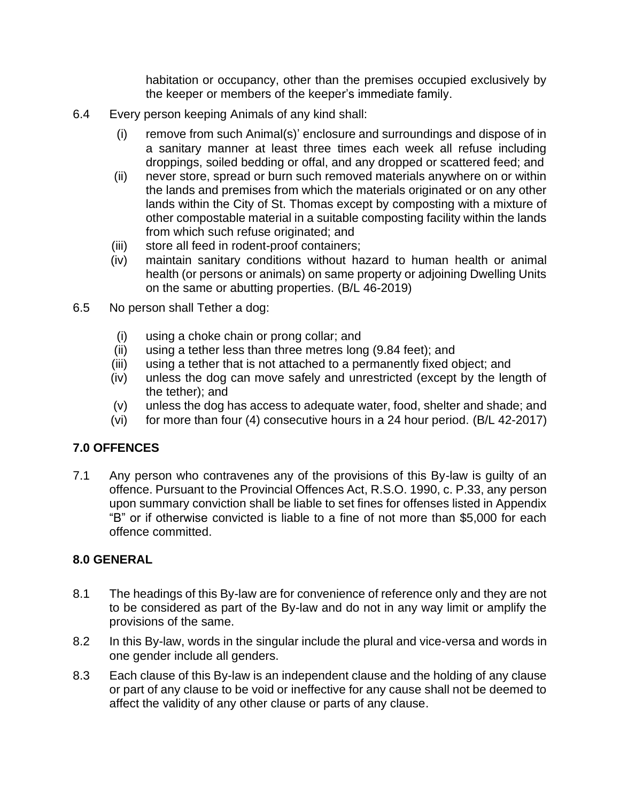habitation or occupancy, other than the premises occupied exclusively by the keeper or members of the keeper's immediate family.

- 6.4 Every person keeping Animals of any kind shall:
	- (i) remove from such Animal(s)' enclosure and surroundings and dispose of in a sanitary manner at least three times each week all refuse including droppings, soiled bedding or offal, and any dropped or scattered feed; and
	- (ii) never store, spread or burn such removed materials anywhere on or within the lands and premises from which the materials originated or on any other lands within the City of St. Thomas except by composting with a mixture of other compostable material in a suitable composting facility within the lands from which such refuse originated; and
	- (iii) store all feed in rodent-proof containers;
	- (iv) maintain sanitary conditions without hazard to human health or animal health (or persons or animals) on same property or adjoining Dwelling Units on the same or abutting properties. (B/L 46-2019)
- 6.5 No person shall Tether a dog:
	- (i) using a choke chain or prong collar; and
	- (ii) using a tether less than three metres long (9.84 feet); and
	- (iii) using a tether that is not attached to a permanently fixed object; and
	- (iv) unless the dog can move safely and unrestricted (except by the length of the tether); and
	- (v) unless the dog has access to adequate water, food, shelter and shade; and
	- (vi) for more than four (4) consecutive hours in a 24 hour period. (B/L 42-2017)

## **7.0 OFFENCES**

7.1 Any person who contravenes any of the provisions of this By-law is guilty of an offence. Pursuant to the Provincial Offences Act, R.S.O. 1990, c. P.33, any person upon summary conviction shall be liable to set fines for offenses listed in Appendix "B" or if otherwise convicted is liable to a fine of not more than \$5,000 for each offence committed.

## **8.0 GENERAL**

- 8.1 The headings of this By-law are for convenience of reference only and they are not to be considered as part of the By-law and do not in any way limit or amplify the provisions of the same.
- 8.2 In this By-law, words in the singular include the plural and vice-versa and words in one gender include all genders.
- 8.3 Each clause of this By-law is an independent clause and the holding of any clause or part of any clause to be void or ineffective for any cause shall not be deemed to affect the validity of any other clause or parts of any clause.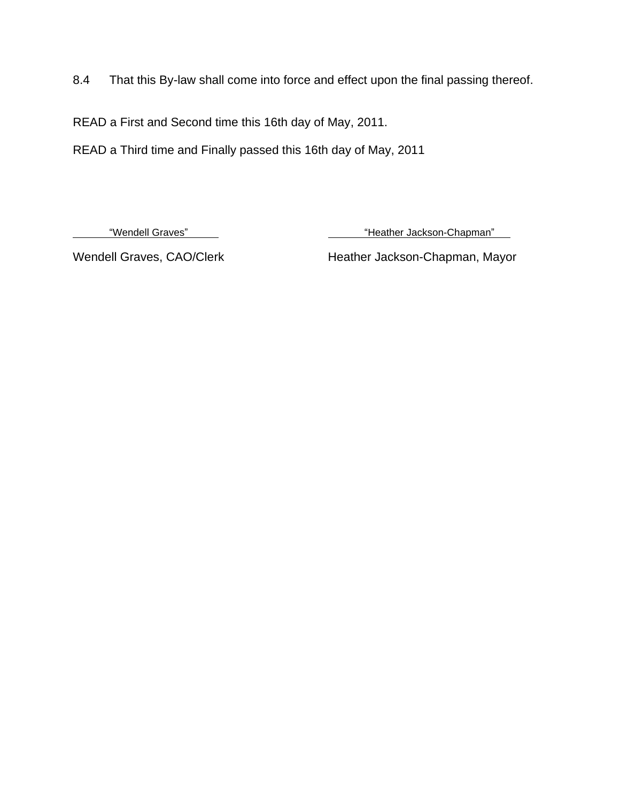8.4 That this By-law shall come into force and effect upon the final passing thereof.

READ a First and Second time this 16th day of May, 2011.

READ a Third time and Finally passed this 16th day of May, 2011

"Wendell Graves" Moreover and the state of the "Heather Jackson-Chapman"

Wendell Graves, CAO/Clerk Heather Jackson-Chapman, Mayor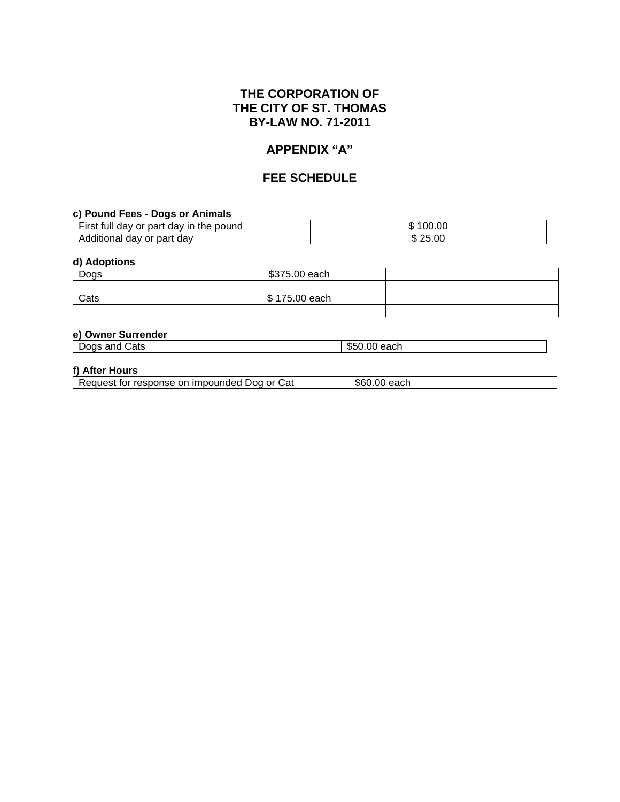## **THE CORPORATION OF THE CITY OF ST. THOMAS BY-LAW NO. 71-2011**

### **APPENDIX "A"**

### **FEE SCHEDULE**

#### **c) Pound Fees - Dogs or Animals**

| $- \cdot$<br>∙ırst<br>pound<br>or part<br>the<br>tull<br>dav in<br>dav | 00.00<br>ጡ<br>۰D |  |
|------------------------------------------------------------------------|------------------|--|
| part<br>dav<br>Additional<br>or<br>dav                                 | 25.00<br>w       |  |

#### **d) Adoptions**

| Dogs | \$375.00 each |  |
|------|---------------|--|
|      |               |  |
| Cats | \$175.00 each |  |
|      |               |  |

#### **e) Owner Surrender**

| $\sqrt{2}$<br>-<br>بمالحت<br>.<br>anc<br>JOAS<br>eaci<br>JCG.<br>$\cdot \cdot \cdot$ |  | _ | خats |  |
|--------------------------------------------------------------------------------------|--|---|------|--|
|--------------------------------------------------------------------------------------|--|---|------|--|

#### **f) After Hours**

Request for response on impounded Dog or Cat \\$60.00 each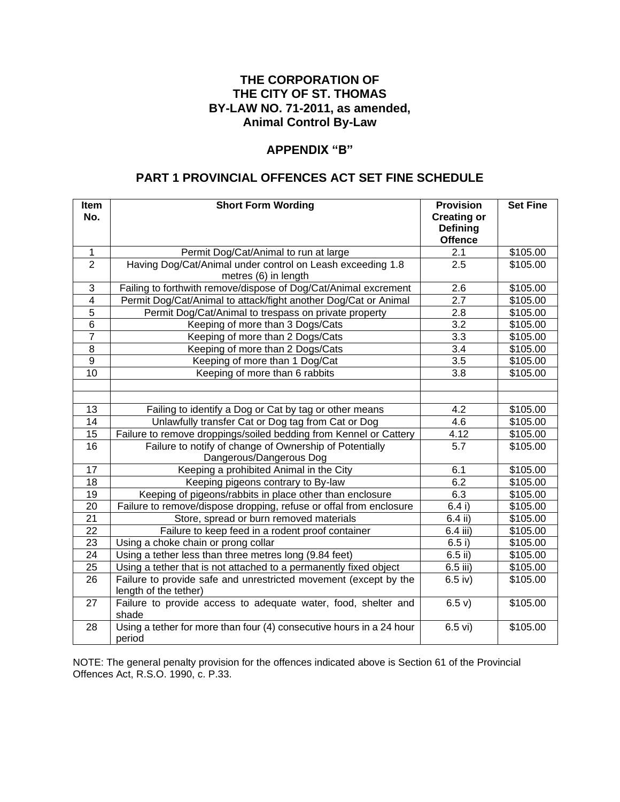## **THE CORPORATION OF THE CITY OF ST. THOMAS BY-LAW NO. 71-2011, as amended, Animal Control By-Law**

#### **APPENDIX "B"**

### **PART 1 PROVINCIAL OFFENCES ACT SET FINE SCHEDULE**

| Item<br>No.              | <b>Short Form Wording</b>                                                                 | <b>Provision</b><br><b>Creating or</b> | <b>Set Fine</b> |
|--------------------------|-------------------------------------------------------------------------------------------|----------------------------------------|-----------------|
|                          |                                                                                           | <b>Defining</b><br><b>Offence</b>      |                 |
| $\mathbf{1}$             | Permit Dog/Cat/Animal to run at large                                                     | 2.1                                    | \$105.00        |
| $\overline{2}$           | Having Dog/Cat/Animal under control on Leash exceeding 1.8                                | 2.5                                    | \$105.00        |
|                          | metres (6) in length                                                                      |                                        |                 |
| 3                        | Failing to forthwith remove/dispose of Dog/Cat/Animal excrement                           | 2.6                                    | \$105.00        |
| $\overline{\mathcal{A}}$ | Permit Dog/Cat/Animal to attack/fight another Dog/Cat or Animal                           | 2.7                                    | \$105.00        |
| 5                        | Permit Dog/Cat/Animal to trespass on private property                                     | 2.8                                    | \$105.00        |
| 6                        | Keeping of more than 3 Dogs/Cats                                                          | 3.2                                    | \$105.00        |
| $\overline{7}$           | Keeping of more than 2 Dogs/Cats                                                          | $\overline{3.3}$                       | \$105.00        |
| 8                        | Keeping of more than 2 Dogs/Cats                                                          | $\overline{3.4}$                       | \$105.00        |
| $\overline{9}$           | Keeping of more than 1 Dog/Cat                                                            | $\overline{3.5}$                       | \$105.00        |
| 10                       | Keeping of more than 6 rabbits                                                            | $\overline{3.8}$                       | \$105.00        |
|                          |                                                                                           |                                        |                 |
|                          |                                                                                           |                                        |                 |
| 13                       | Failing to identify a Dog or Cat by tag or other means                                    | 4.2                                    | \$105.00        |
| 14                       | Unlawfully transfer Cat or Dog tag from Cat or Dog                                        | 4.6                                    | \$105.00        |
| 15                       | Failure to remove droppings/soiled bedding from Kennel or Cattery                         | 4.12                                   | \$105.00        |
| $\overline{16}$          | Failure to notify of change of Ownership of Potentially                                   | $\overline{5.7}$                       | \$105.00        |
|                          | Dangerous/Dangerous Dog                                                                   |                                        |                 |
| 17                       | Keeping a prohibited Animal in the City                                                   | 6.1                                    | \$105.00        |
| 18                       | Keeping pigeons contrary to By-law                                                        | 6.2                                    | \$105.00        |
| 19                       | Keeping of pigeons/rabbits in place other than enclosure                                  | 6.3                                    | \$105.00        |
| 20                       | Failure to remove/dispose dropping, refuse or offal from enclosure                        | 6.4i)                                  | \$105.00        |
| 21                       | Store, spread or burn removed materials                                                   | 6.4 ii)                                | \$105.00        |
| 22                       | Failure to keep feed in a rodent proof container                                          | 6.4 iii)                               | \$105.00        |
| 23                       | Using a choke chain or prong collar                                                       | 6.5 i)                                 | \$105.00        |
| $\overline{24}$          | Using a tether less than three metres long (9.84 feet)                                    | $6.5$ ii)                              | \$105.00        |
| 25                       | Using a tether that is not attached to a permanently fixed object                         | 6.5 iii)                               | \$105.00        |
| $\overline{26}$          | Failure to provide safe and unrestricted movement (except by the<br>length of the tether) | $6.5$ iv)                              | \$105.00        |
| 27                       | Failure to provide access to adequate water, food, shelter and                            | 6.5 v)                                 | \$105.00        |
|                          | shade                                                                                     |                                        |                 |
| 28                       | Using a tether for more than four (4) consecutive hours in a 24 hour<br>period            | $6.5$ vi)                              | \$105.00        |

NOTE: The general penalty provision for the offences indicated above is Section 61 of the Provincial Offences Act, R.S.O. 1990, c. P.33.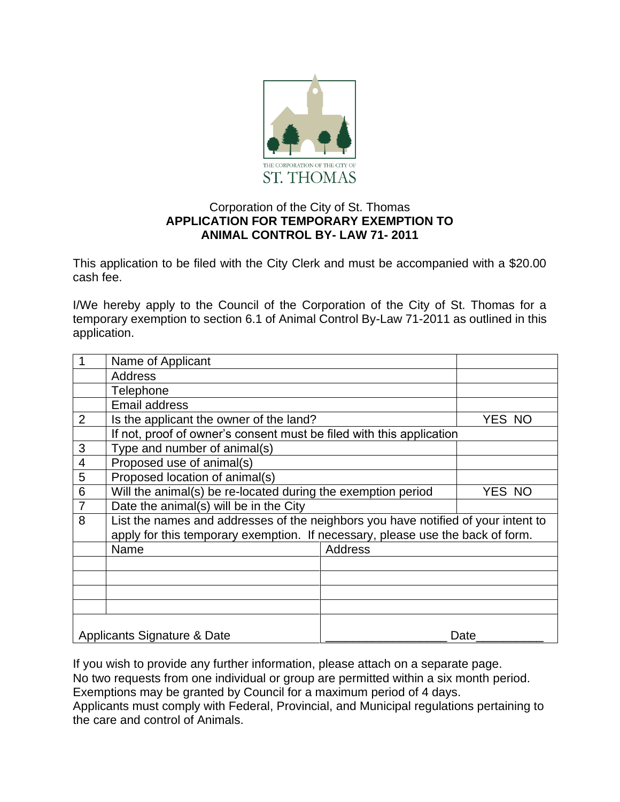

## Corporation of the City of St. Thomas **APPLICATION FOR TEMPORARY EXEMPTION TO ANIMAL CONTROL BY- LAW 71- 2011**

This application to be filed with the City Clerk and must be accompanied with a \$20.00 cash fee.

I/We hereby apply to the Council of the Corporation of the City of St. Thomas for a temporary exemption to section 6.1 of Animal Control By-Law 71-2011 as outlined in this application.

|                          | Name of Applicant                                                                                                                                                   |                |        |
|--------------------------|---------------------------------------------------------------------------------------------------------------------------------------------------------------------|----------------|--------|
|                          | <b>Address</b>                                                                                                                                                      |                |        |
|                          | Telephone                                                                                                                                                           |                |        |
|                          | <b>Email address</b>                                                                                                                                                |                |        |
| $\overline{2}$           | Is the applicant the owner of the land?                                                                                                                             |                | YES NO |
|                          | If not, proof of owner's consent must be filed with this application                                                                                                |                |        |
| 3                        | Type and number of animal(s)                                                                                                                                        |                |        |
| $\overline{\mathcal{A}}$ | Proposed use of animal(s)                                                                                                                                           |                |        |
| 5                        | Proposed location of animal(s)                                                                                                                                      |                |        |
| 6                        | Will the animal(s) be re-located during the exemption period                                                                                                        |                | YES NO |
| $\overline{7}$           | Date the animal(s) will be in the City                                                                                                                              |                |        |
| 8                        | List the names and addresses of the neighbors you have notified of your intent to<br>apply for this temporary exemption. If necessary, please use the back of form. |                |        |
|                          | Name                                                                                                                                                                | <b>Address</b> |        |
|                          |                                                                                                                                                                     |                |        |
|                          |                                                                                                                                                                     |                |        |
|                          |                                                                                                                                                                     |                |        |
|                          |                                                                                                                                                                     |                |        |
|                          | Applicants Signature & Date                                                                                                                                         |                | Date   |

If you wish to provide any further information, please attach on a separate page. No two requests from one individual or group are permitted within a six month period. Exemptions may be granted by Council for a maximum period of 4 days. Applicants must comply with Federal, Provincial, and Municipal regulations pertaining to the care and control of Animals.